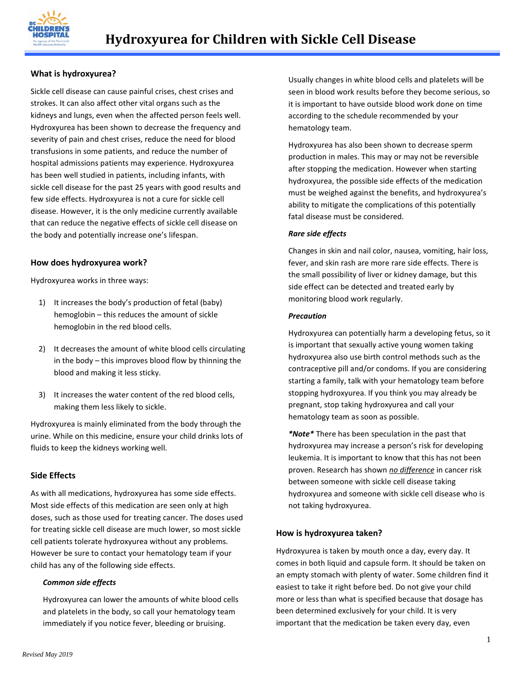

## **What is hydroxyurea?**

Sickle cell disease can cause painful crises, chest crises and strokes. It can also affect other vital organs such as the kidneys and lungs, even when the affected person feels well. Hydroxyurea has been shown to decrease the frequency and severity of pain and chest crises, reduce the need for blood transfusions in some patients, and reduce the number of hospital admissions patients may experience. Hydroxyurea has been well studied in patients, including infants, with sickle cell disease for the past 25 years with good results and few side effects. Hydroxyurea is not a cure for sickle cell disease. However, it is the only medicine currently available that can reduce the negative effects of sickle cell disease on the body and potentially increase one's lifespan.

### **How does hydroxyurea work?**

Hydroxyurea works in three ways:

- 1) It increases the body's production of fetal (baby) hemoglobin – this reduces the amount of sickle hemoglobin in the red blood cells.
- 2) It decreases the amount of white blood cells circulating in the body – this improves blood flow by thinning the blood and making it less sticky.
- 3) It increases the water content of the red blood cells, making them less likely to sickle.

Hydroxyurea is mainly eliminated from the body through the urine. While on this medicine, ensure your child drinks lots of fluids to keep the kidneys working well.

### **Side Effects**

As with all medications, hydroxyurea has some side effects. Most side effects of this medication are seen only at high doses, such as those used for treating cancer. The doses used for treating sickle cell disease are much lower, so most sickle cell patients tolerate hydroxyurea without any problems. However be sure to contact your hematology team if your child has any of the following side effects.

#### *Common side effects*

Hydroxyurea can lower the amounts of white blood cells and platelets in the body, so call your hematology team immediately if you notice fever, bleeding or bruising.

Usually changes in white blood cells and platelets will be seen in blood work results before they become serious, so it is important to have outside blood work done on time according to the schedule recommended by your hematology team.

Hydroxyurea has also been shown to decrease sperm production in males. This may or may not be reversible after stopping the medication. However when starting hydroxyurea, the possible side effects of the medication must be weighed against the benefits, and hydroxyurea's ability to mitigate the complications of this potentially fatal disease must be considered.

#### *Rare side effects*

Changes in skin and nail color, nausea, vomiting, hair loss, fever, and skin rash are more rare side effects. There is the small possibility of liver or kidney damage, but this side effect can be detected and treated early by monitoring blood work regularly.

#### *Precaution*

Hydroxyurea can potentially harm a developing fetus, so it is important that sexually active young women taking hydroxyurea also use birth control methods such as the contraceptive pill and/or condoms. If you are considering starting a family, talk with your hematology team before stopping hydroxyurea. If you think you may already be pregnant, stop taking hydroxyurea and call your hematology team as soon as possible.

*\*Note\** There has been speculation in the past that hydroxyurea may increase a person's risk for developing leukemia. It is important to know that this has not been proven. Research has shown *no difference* in cancer risk between someone with sickle cell disease taking hydroxyurea and someone with sickle cell disease who is not taking hydroxyurea.

### **How is hydroxyurea taken?**

Hydroxyurea is taken by mouth once a day, every day. It comes in both liquid and capsule form. It should be taken on an empty stomach with plenty of water. Some children find it easiest to take it right before bed. Do not give your child more or less than what is specified because that dosage has been determined exclusively for your child. It is very important that the medication be taken every day, even